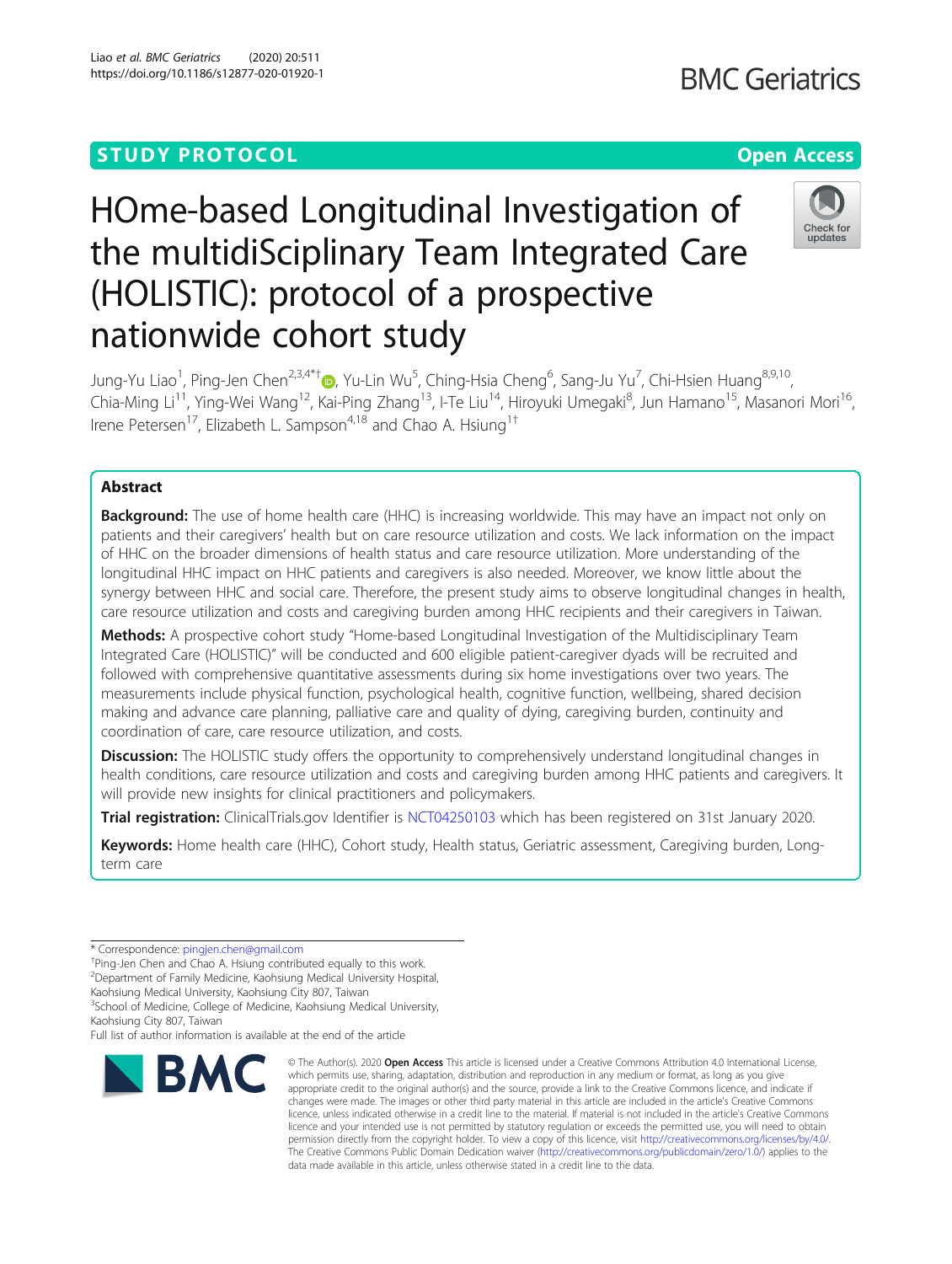# **STUDY PROTOCOL CONSUMING THE RESERVE ACCESS**

# HOme-based Longitudinal Investigation of the multidiSciplinary Team Integrated Care (HOLISTIC): protocol of a prospective nationwide cohort study

Jung-Yu Liao<sup>1</sup>[,](http://orcid.org/0000-0001-7636-0801) Ping-Jen Chen<sup>2,3,4\*†</sup>®, Yu-Lin Wu<sup>5</sup>, Ching-Hsia Cheng<sup>6</sup>, Sang-Ju Yu<sup>7</sup>, Chi-Hsien Huang<sup>8,9,10</sup>, Chia-Ming Li<sup>11</sup>, Ying-Wei Wang<sup>12</sup>, Kai-Ping Zhang<sup>13</sup>, I-Te Liu<sup>14</sup>, Hiroyuki Umegaki<sup>8</sup>, Jun Hamano<sup>15</sup>, Masanori Mori<sup>16</sup>, Irene Petersen<sup>17</sup>, Elizabeth L. Sampson<sup>4,18</sup> and Chao A. Hsiung<sup>1+</sup>

# Abstract

**Background:** The use of home health care (HHC) is increasing worldwide. This may have an impact not only on patients and their caregivers' health but on care resource utilization and costs. We lack information on the impact of HHC on the broader dimensions of health status and care resource utilization. More understanding of the longitudinal HHC impact on HHC patients and caregivers is also needed. Moreover, we know little about the synergy between HHC and social care. Therefore, the present study aims to observe longitudinal changes in health, care resource utilization and costs and caregiving burden among HHC recipients and their caregivers in Taiwan.

Methods: A prospective cohort study "Home-based Longitudinal Investigation of the Multidisciplinary Team Integrated Care (HOLISTIC)" will be conducted and 600 eligible patient-caregiver dyads will be recruited and followed with comprehensive quantitative assessments during six home investigations over two years. The measurements include physical function, psychological health, cognitive function, wellbeing, shared decision making and advance care planning, palliative care and quality of dying, caregiving burden, continuity and coordination of care, care resource utilization, and costs.

**Discussion:** The HOLISTIC study offers the opportunity to comprehensively understand longitudinal changes in health conditions, care resource utilization and costs and caregiving burden among HHC patients and caregivers. It will provide new insights for clinical practitioners and policymakers.

Trial registration: ClinicalTrials.gov Identifier is [NCT04250103](https://clinicaltrials.gov/ct2/show/NCT04250103) which has been registered on 31st January 2020.

Keywords: Home health care (HHC), Cohort study, Health status, Geriatric assessment, Caregiving burden, Longterm care

<sup>3</sup>School of Medicine, College of Medicine, Kaohsiung Medical University, Kaohsiung City 807, Taiwan

Full list of author information is available at the end of the article

© The Author(s), 2020 **Open Access** This article is licensed under a Creative Commons Attribution 4.0 International License, which permits use, sharing, adaptation, distribution and reproduction in any medium or format, as long as you give appropriate credit to the original author(s) and the source, provide a link to the Creative Commons licence, and indicate if changes were made. The images or other third party material in this article are included in the article's Creative Commons licence, unless indicated otherwise in a credit line to the material. If material is not included in the article's Creative Commons licence and your intended use is not permitted by statutory regulation or exceeds the permitted use, you will need to obtain permission directly from the copyright holder. To view a copy of this licence, visit [http://creativecommons.org/licenses/by/4.0/.](http://creativecommons.org/licenses/by/4.0/) The Creative Commons Public Domain Dedication waiver [\(http://creativecommons.org/publicdomain/zero/1.0/](http://creativecommons.org/publicdomain/zero/1.0/)) applies to the data made available in this article, unless otherwise stated in a credit line to the data.



<sup>\*</sup> Correspondence: [pingjen.chen@gmail.com](mailto:pingjen.chen@gmail.com) †

<sup>&</sup>lt;sup>+</sup>Ping-Jen Chen and Chao A. Hsiung contributed equally to this work.

<sup>2</sup> Department of Family Medicine, Kaohsiung Medical University Hospital,

Kaohsiung Medical University, Kaohsiung City 807, Taiwan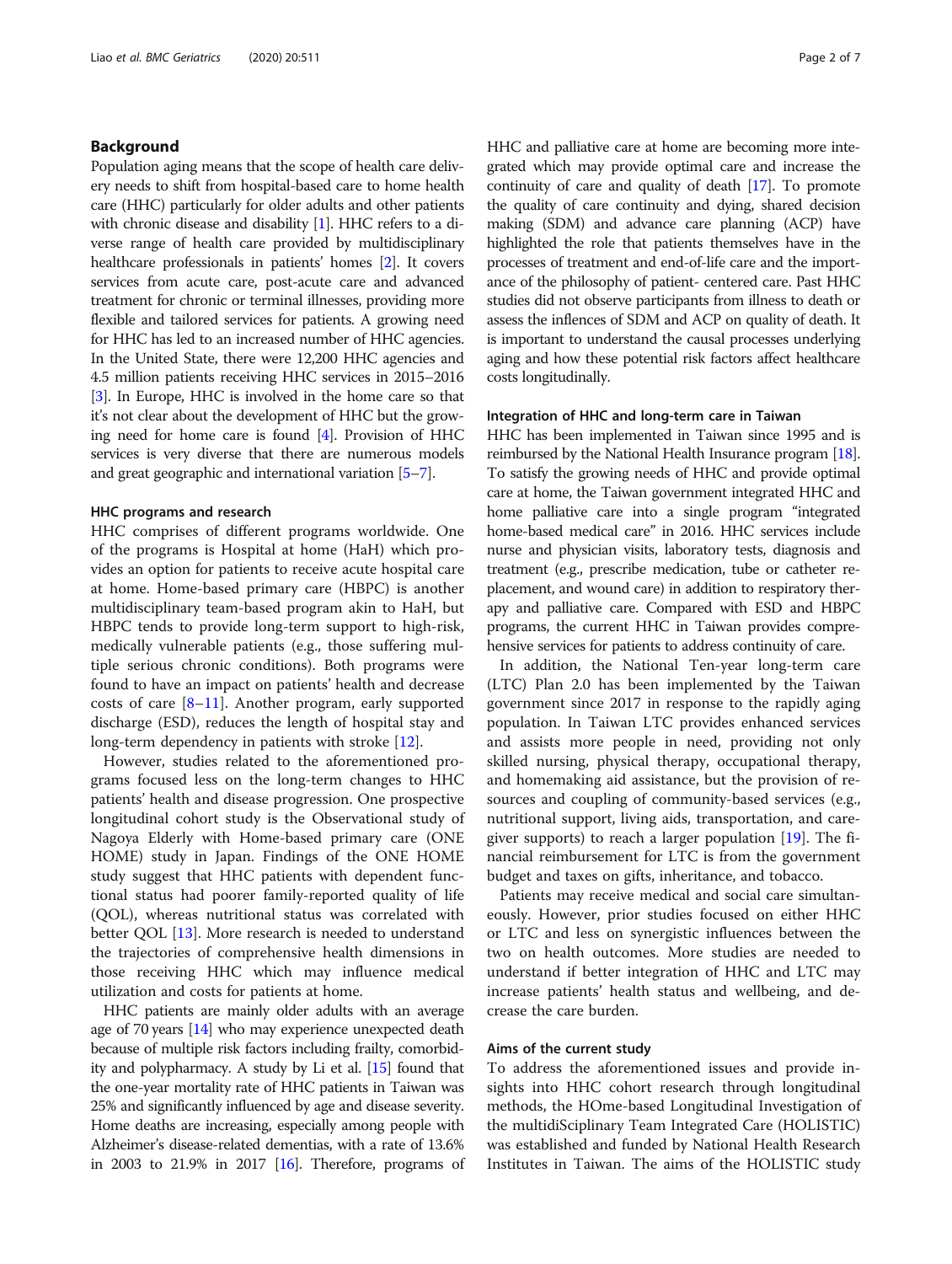# Background

Population aging means that the scope of health care delivery needs to shift from hospital-based care to home health care (HHC) particularly for older adults and other patients with chronic disease and disability [\[1\]](#page-6-0). HHC refers to a diverse range of health care provided by multidisciplinary healthcare professionals in patients' homes [\[2](#page-6-0)]. It covers services from acute care, post-acute care and advanced treatment for chronic or terminal illnesses, providing more flexible and tailored services for patients. A growing need for HHC has led to an increased number of HHC agencies. In the United State, there were 12,200 HHC agencies and 4.5 million patients receiving HHC services in 2015–2016 [[3](#page-6-0)]. In Europe, HHC is involved in the home care so that it's not clear about the development of HHC but the growing need for home care is found [\[4](#page-6-0)]. Provision of HHC services is very diverse that there are numerous models and great geographic and international variation [\[5](#page-6-0)–[7](#page-6-0)].

# HHC programs and research

HHC comprises of different programs worldwide. One of the programs is Hospital at home (HaH) which provides an option for patients to receive acute hospital care at home. Home-based primary care (HBPC) is another multidisciplinary team-based program akin to HaH, but HBPC tends to provide long-term support to high-risk, medically vulnerable patients (e.g., those suffering multiple serious chronic conditions). Both programs were found to have an impact on patients' health and decrease costs of care [[8](#page-6-0)–[11\]](#page-6-0). Another program, early supported discharge (ESD), reduces the length of hospital stay and long-term dependency in patients with stroke [[12\]](#page-6-0).

However, studies related to the aforementioned programs focused less on the long-term changes to HHC patients' health and disease progression. One prospective longitudinal cohort study is the Observational study of Nagoya Elderly with Home-based primary care (ONE HOME) study in Japan. Findings of the ONE HOME study suggest that HHC patients with dependent functional status had poorer family-reported quality of life (QOL), whereas nutritional status was correlated with better QOL [[13\]](#page-6-0). More research is needed to understand the trajectories of comprehensive health dimensions in those receiving HHC which may influence medical utilization and costs for patients at home.

HHC patients are mainly older adults with an average age of 70 years [[14](#page-6-0)] who may experience unexpected death because of multiple risk factors including frailty, comorbidity and polypharmacy. A study by Li et al. [[15](#page-6-0)] found that the one-year mortality rate of HHC patients in Taiwan was 25% and significantly influenced by age and disease severity. Home deaths are increasing, especially among people with Alzheimer's disease-related dementias, with a rate of 13.6% in 2003 to 21.9% in 2017 [[16](#page-6-0)]. Therefore, programs of HHC and palliative care at home are becoming more integrated which may provide optimal care and increase the continuity of care and quality of death [[17](#page-6-0)]. To promote the quality of care continuity and dying, shared decision making (SDM) and advance care planning (ACP) have highlighted the role that patients themselves have in the processes of treatment and end-of-life care and the importance of the philosophy of patient- centered care. Past HHC studies did not observe participants from illness to death or assess the inflences of SDM and ACP on quality of death. It is important to understand the causal processes underlying aging and how these potential risk factors affect healthcare costs longitudinally.

### Integration of HHC and long-term care in Taiwan

HHC has been implemented in Taiwan since 1995 and is reimbursed by the National Health Insurance program [\[18](#page-6-0)]. To satisfy the growing needs of HHC and provide optimal care at home, the Taiwan government integrated HHC and home palliative care into a single program "integrated home-based medical care" in 2016. HHC services include nurse and physician visits, laboratory tests, diagnosis and treatment (e.g., prescribe medication, tube or catheter replacement, and wound care) in addition to respiratory therapy and palliative care. Compared with ESD and HBPC programs, the current HHC in Taiwan provides comprehensive services for patients to address continuity of care.

In addition, the National Ten-year long-term care (LTC) Plan 2.0 has been implemented by the Taiwan government since 2017 in response to the rapidly aging population. In Taiwan LTC provides enhanced services and assists more people in need, providing not only skilled nursing, physical therapy, occupational therapy, and homemaking aid assistance, but the provision of resources and coupling of community-based services (e.g., nutritional support, living aids, transportation, and caregiver supports) to reach a larger population [[19](#page-6-0)]. The financial reimbursement for LTC is from the government budget and taxes on gifts, inheritance, and tobacco.

Patients may receive medical and social care simultaneously. However, prior studies focused on either HHC or LTC and less on synergistic influences between the two on health outcomes. More studies are needed to understand if better integration of HHC and LTC may increase patients' health status and wellbeing, and decrease the care burden.

#### Aims of the current study

To address the aforementioned issues and provide insights into HHC cohort research through longitudinal methods, the HOme-based Longitudinal Investigation of the multidiSciplinary Team Integrated Care (HOLISTIC) was established and funded by National Health Research Institutes in Taiwan. The aims of the HOLISTIC study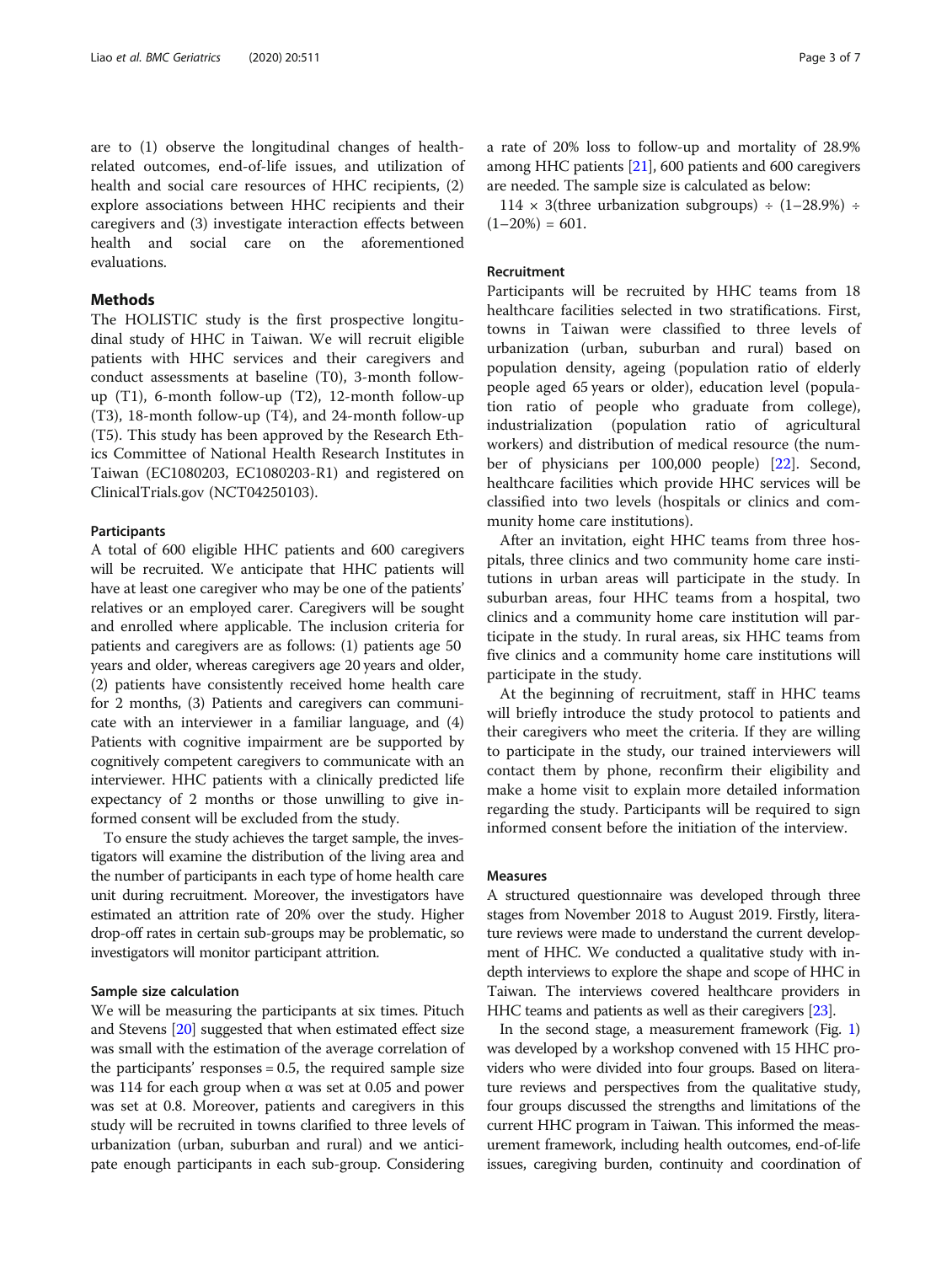are to (1) observe the longitudinal changes of healthrelated outcomes, end-of-life issues, and utilization of health and social care resources of HHC recipients, (2) explore associations between HHC recipients and their caregivers and (3) investigate interaction effects between health and social care on the aforementioned evaluations.

# **Methods**

The HOLISTIC study is the first prospective longitudinal study of HHC in Taiwan. We will recruit eligible patients with HHC services and their caregivers and conduct assessments at baseline (T0), 3-month followup (T1), 6-month follow-up (T2), 12-month follow-up (T3), 18-month follow-up (T4), and 24-month follow-up (T5). This study has been approved by the Research Ethics Committee of National Health Research Institutes in Taiwan (EC1080203, EC1080203-R1) and registered on ClinicalTrials.gov (NCT04250103).

#### Participants

A total of 600 eligible HHC patients and 600 caregivers will be recruited. We anticipate that HHC patients will have at least one caregiver who may be one of the patients' relatives or an employed carer. Caregivers will be sought and enrolled where applicable. The inclusion criteria for patients and caregivers are as follows: (1) patients age 50 years and older, whereas caregivers age 20 years and older, (2) patients have consistently received home health care for 2 months, (3) Patients and caregivers can communicate with an interviewer in a familiar language, and (4) Patients with cognitive impairment are be supported by cognitively competent caregivers to communicate with an interviewer. HHC patients with a clinically predicted life expectancy of 2 months or those unwilling to give informed consent will be excluded from the study.

To ensure the study achieves the target sample, the investigators will examine the distribution of the living area and the number of participants in each type of home health care unit during recruitment. Moreover, the investigators have estimated an attrition rate of 20% over the study. Higher drop-off rates in certain sub-groups may be problematic, so investigators will monitor participant attrition.

# Sample size calculation

We will be measuring the participants at six times. Pituch and Stevens [\[20\]](#page-6-0) suggested that when estimated effect size was small with the estimation of the average correlation of the participants' responses = 0.5, the required sample size was 114 for each group when  $α$  was set at 0.05 and power was set at 0.8. Moreover, patients and caregivers in this study will be recruited in towns clarified to three levels of urbanization (urban, suburban and rural) and we anticipate enough participants in each sub-group. Considering a rate of 20% loss to follow-up and mortality of 28.9% among HHC patients [\[21\]](#page-6-0), 600 patients and 600 caregivers are needed. The sample size is calculated as below:

 $114 \times 3$ (three urbanization subgroups) ÷  $(1-28.9%) \div$  $(1-20\%) = 601.$ 

#### Recruitment

Participants will be recruited by HHC teams from 18 healthcare facilities selected in two stratifications. First, towns in Taiwan were classified to three levels of urbanization (urban, suburban and rural) based on population density, ageing (population ratio of elderly people aged 65 years or older), education level (population ratio of people who graduate from college), industrialization (population ratio of agricultural workers) and distribution of medical resource (the number of physicians per 100,000 people) [\[22\]](#page-6-0). Second, healthcare facilities which provide HHC services will be classified into two levels (hospitals or clinics and community home care institutions).

After an invitation, eight HHC teams from three hospitals, three clinics and two community home care institutions in urban areas will participate in the study. In suburban areas, four HHC teams from a hospital, two clinics and a community home care institution will participate in the study. In rural areas, six HHC teams from five clinics and a community home care institutions will participate in the study.

At the beginning of recruitment, staff in HHC teams will briefly introduce the study protocol to patients and their caregivers who meet the criteria. If they are willing to participate in the study, our trained interviewers will contact them by phone, reconfirm their eligibility and make a home visit to explain more detailed information regarding the study. Participants will be required to sign informed consent before the initiation of the interview.

### Measures

A structured questionnaire was developed through three stages from November 2018 to August 2019. Firstly, literature reviews were made to understand the current development of HHC. We conducted a qualitative study with indepth interviews to explore the shape and scope of HHC in Taiwan. The interviews covered healthcare providers in HHC teams and patients as well as their caregivers [[23](#page-6-0)].

In the second stage, a measurement framework (Fig. [1](#page-3-0)) was developed by a workshop convened with 15 HHC providers who were divided into four groups. Based on literature reviews and perspectives from the qualitative study, four groups discussed the strengths and limitations of the current HHC program in Taiwan. This informed the measurement framework, including health outcomes, end-of-life issues, caregiving burden, continuity and coordination of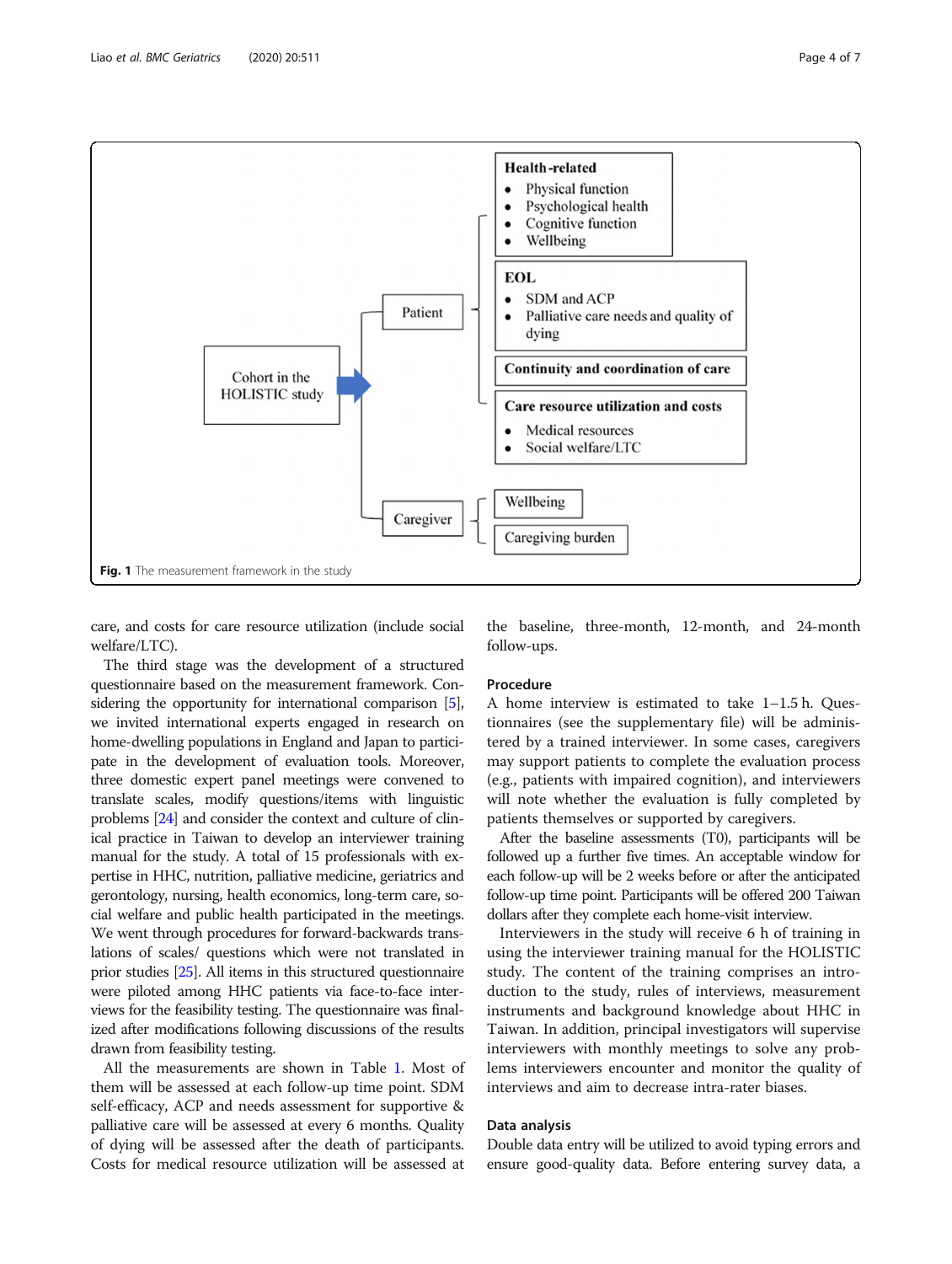<span id="page-3-0"></span>

care, and costs for care resource utilization (include social welfare/LTC).

the baseline, three-month, 12-month, and 24-month follow-ups.

The third stage was the development of a structured questionnaire based on the measurement framework. Considering the opportunity for international comparison [[5](#page-6-0)], we invited international experts engaged in research on home-dwelling populations in England and Japan to participate in the development of evaluation tools. Moreover, three domestic expert panel meetings were convened to translate scales, modify questions/items with linguistic problems [\[24\]](#page-6-0) and consider the context and culture of clinical practice in Taiwan to develop an interviewer training manual for the study. A total of 15 professionals with expertise in HHC, nutrition, palliative medicine, geriatrics and gerontology, nursing, health economics, long-term care, social welfare and public health participated in the meetings. We went through procedures for forward-backwards translations of scales/ questions which were not translated in prior studies [[25\]](#page-6-0). All items in this structured questionnaire were piloted among HHC patients via face-to-face interviews for the feasibility testing. The questionnaire was finalized after modifications following discussions of the results drawn from feasibility testing.

# All the measurements are shown in Table [1](#page-4-0). Most of them will be assessed at each follow-up time point. SDM self-efficacy, ACP and needs assessment for supportive & palliative care will be assessed at every 6 months. Quality of dying will be assessed after the death of participants. Costs for medical resource utilization will be assessed at

# Procedure

A home interview is estimated to take 1–1.5 h. Questionnaires (see the supplementary file) will be administered by a trained interviewer. In some cases, caregivers may support patients to complete the evaluation process (e.g., patients with impaired cognition), and interviewers will note whether the evaluation is fully completed by patients themselves or supported by caregivers.

After the baseline assessments (T0), participants will be followed up a further five times. An acceptable window for each follow-up will be 2 weeks before or after the anticipated follow-up time point. Participants will be offered 200 Taiwan dollars after they complete each home-visit interview.

Interviewers in the study will receive 6 h of training in using the interviewer training manual for the HOLISTIC study. The content of the training comprises an introduction to the study, rules of interviews, measurement instruments and background knowledge about HHC in Taiwan. In addition, principal investigators will supervise interviewers with monthly meetings to solve any problems interviewers encounter and monitor the quality of interviews and aim to decrease intra-rater biases.

# Data analysis

Double data entry will be utilized to avoid typing errors and ensure good-quality data. Before entering survey data, a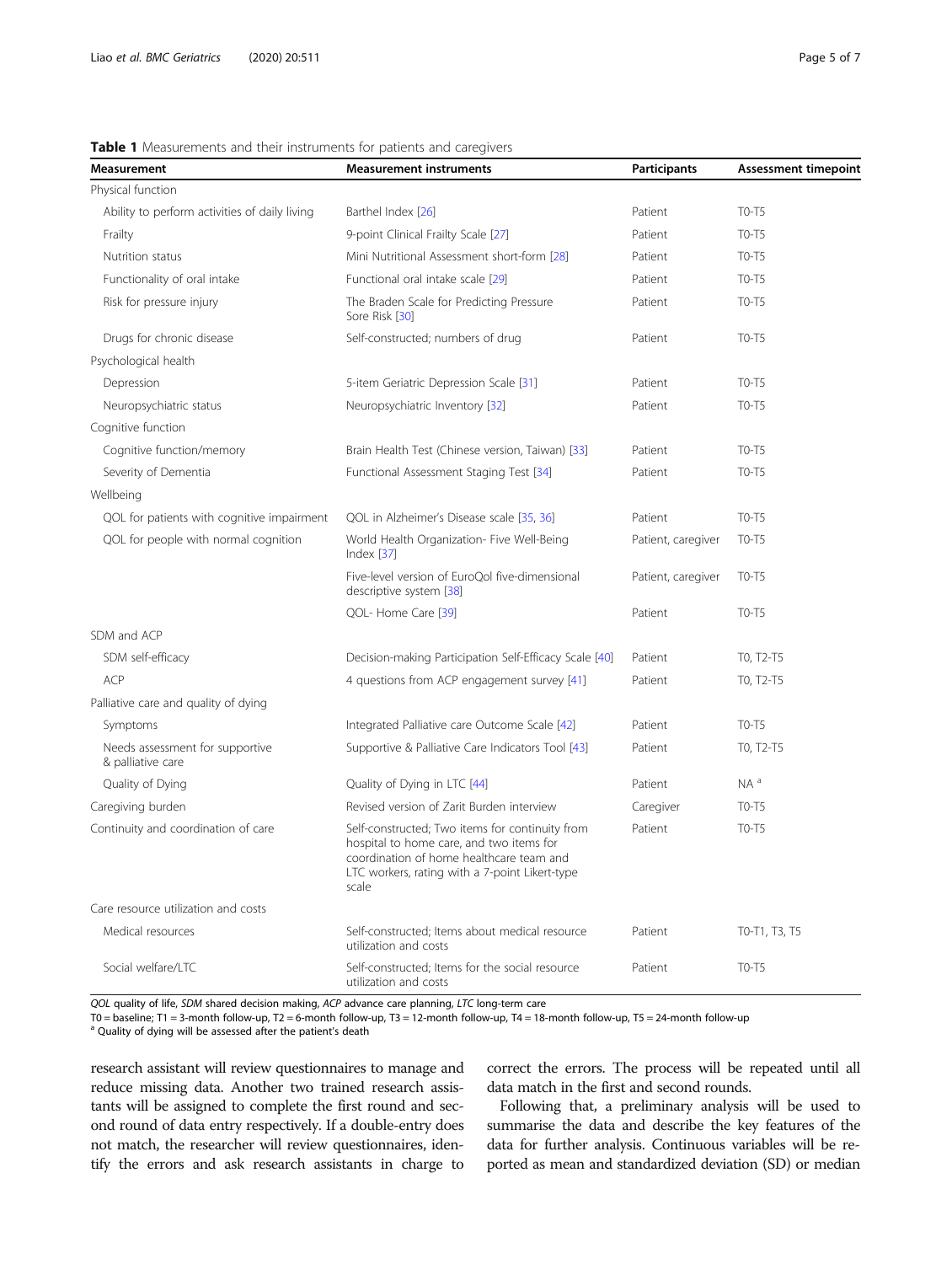# <span id="page-4-0"></span>Table 1 Measurements and their instruments for patients and caregivers

| Measurement                                          | <b>Measurement instruments</b>                                                                                                                                                                     | Participants       | <b>Assessment timepoint</b> |
|------------------------------------------------------|----------------------------------------------------------------------------------------------------------------------------------------------------------------------------------------------------|--------------------|-----------------------------|
| Physical function                                    |                                                                                                                                                                                                    |                    |                             |
| Ability to perform activities of daily living        | Barthel Index [26]                                                                                                                                                                                 | Patient            | $TO-T5$                     |
| Frailty                                              | 9-point Clinical Frailty Scale [27]                                                                                                                                                                | Patient            | T0-T5                       |
| Nutrition status                                     | Mini Nutritional Assessment short-form [28]                                                                                                                                                        | Patient            | T0-T5                       |
| Functionality of oral intake                         | Functional oral intake scale [29]                                                                                                                                                                  | Patient            | T0-T5                       |
| Risk for pressure injury                             | The Braden Scale for Predicting Pressure<br>Sore Risk [30]                                                                                                                                         | Patient            | $TO-T5$                     |
| Drugs for chronic disease                            | Self-constructed; numbers of drug                                                                                                                                                                  | Patient            | T0-T5                       |
| Psychological health                                 |                                                                                                                                                                                                    |                    |                             |
| Depression                                           | 5-item Geriatric Depression Scale [31]                                                                                                                                                             | Patient            | T0-T5                       |
| Neuropsychiatric status                              | Neuropsychiatric Inventory [32]                                                                                                                                                                    | Patient            | $TO-T5$                     |
| Cognitive function                                   |                                                                                                                                                                                                    |                    |                             |
| Cognitive function/memory                            | Brain Health Test (Chinese version, Taiwan) [33]                                                                                                                                                   | Patient            | $TO-T5$                     |
| Severity of Dementia                                 | Functional Assessment Staging Test [34]                                                                                                                                                            | Patient            | $TO-T5$                     |
| Wellbeing                                            |                                                                                                                                                                                                    |                    |                             |
| QOL for patients with cognitive impairment           | QOL in Alzheimer's Disease scale [35, 36]                                                                                                                                                          | Patient            | $TO-T5$                     |
| QOL for people with normal cognition                 | World Health Organization- Five Well-Being<br>Index $[37]$                                                                                                                                         | Patient, caregiver | T0-T5                       |
|                                                      | Five-level version of EuroQol five-dimensional<br>descriptive system [38]                                                                                                                          | Patient, caregiver | T0-T5                       |
|                                                      | QOL- Home Care [39]                                                                                                                                                                                | Patient            | T0-T5                       |
| SDM and ACP                                          |                                                                                                                                                                                                    |                    |                             |
| SDM self-efficacy                                    | Decision-making Participation Self-Efficacy Scale [40]                                                                                                                                             | Patient            | TO, T2-T5                   |
| ACP                                                  | 4 questions from ACP engagement survey [41]                                                                                                                                                        | Patient            | TO, T2-T5                   |
| Palliative care and quality of dying                 |                                                                                                                                                                                                    |                    |                             |
| Symptoms                                             | Integrated Palliative care Outcome Scale [42]                                                                                                                                                      | Patient            | $TO-T5$                     |
| Needs assessment for supportive<br>& palliative care | Supportive & Palliative Care Indicators Tool [43]                                                                                                                                                  | Patient            | TO, T2-T5                   |
| Quality of Dying                                     | Quality of Dying in LTC [44]                                                                                                                                                                       | Patient            | $NA^a$                      |
| Caregiving burden                                    | Revised version of Zarit Burden interview                                                                                                                                                          | Caregiver          | $TO-T5$                     |
| Continuity and coordination of care                  | Self-constructed; Two items for continuity from<br>hospital to home care, and two items for<br>coordination of home healthcare team and<br>LTC workers, rating with a 7-point Likert-type<br>scale | Patient            | T0-T5                       |
| Care resource utilization and costs                  |                                                                                                                                                                                                    |                    |                             |
| Medical resources                                    | Self-constructed: Items about medical resource<br>utilization and costs                                                                                                                            | Patient            | T0-T1, T3, T5               |
| Social welfare/LTC                                   | Self-constructed; Items for the social resource<br>utilization and costs                                                                                                                           | Patient            | T0-T5                       |

QOL quality of life, SDM shared decision making, ACP advance care planning, LTC long-term care

T0 = baseline; T1 = 3-month follow-up, T2 = 6-month follow-up, T3 = 12-month follow-up, T4 = 18-month follow-up, T5 = 24-month follow-up

<sup>a</sup> Quality of dying will be assessed after the patient's death

research assistant will review questionnaires to manage and reduce missing data. Another two trained research assistants will be assigned to complete the first round and second round of data entry respectively. If a double-entry does not match, the researcher will review questionnaires, identify the errors and ask research assistants in charge to correct the errors. The process will be repeated until all data match in the first and second rounds.

Following that, a preliminary analysis will be used to summarise the data and describe the key features of the data for further analysis. Continuous variables will be reported as mean and standardized deviation (SD) or median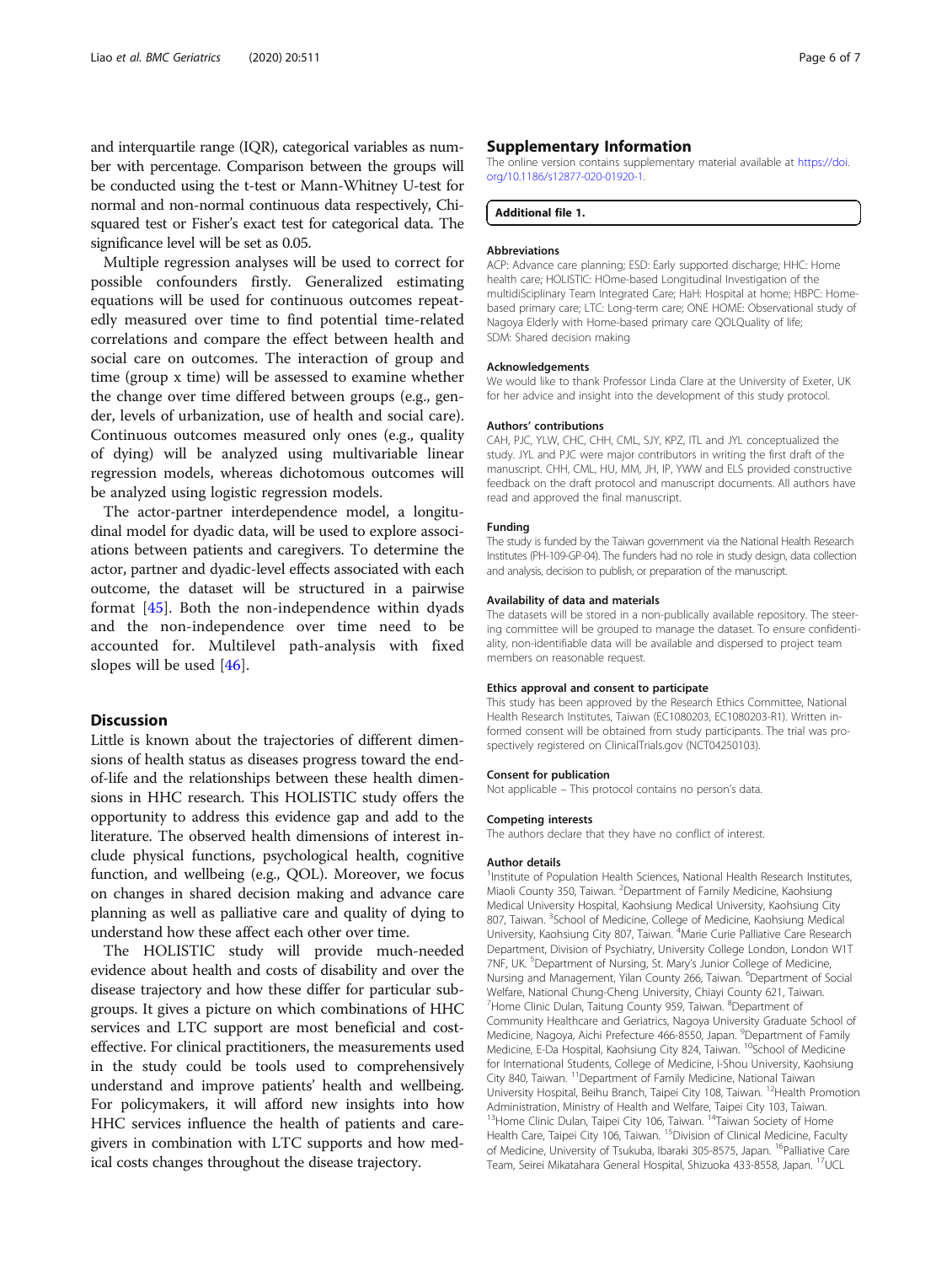and interquartile range (IQR), categorical variables as number with percentage. Comparison between the groups will be conducted using the t-test or Mann-Whitney U-test for normal and non-normal continuous data respectively, Chisquared test or Fisher's exact test for categorical data. The significance level will be set as 0.05.

Multiple regression analyses will be used to correct for possible confounders firstly. Generalized estimating equations will be used for continuous outcomes repeatedly measured over time to find potential time-related correlations and compare the effect between health and social care on outcomes. The interaction of group and time (group x time) will be assessed to examine whether the change over time differed between groups (e.g., gender, levels of urbanization, use of health and social care). Continuous outcomes measured only ones (e.g., quality of dying) will be analyzed using multivariable linear regression models, whereas dichotomous outcomes will be analyzed using logistic regression models.

The actor-partner interdependence model, a longitudinal model for dyadic data, will be used to explore associations between patients and caregivers. To determine the actor, partner and dyadic-level effects associated with each outcome, the dataset will be structured in a pairwise format [\[45](#page-6-0)]. Both the non-independence within dyads and the non-independence over time need to be accounted for. Multilevel path-analysis with fixed slopes will be used [[46\]](#page-6-0).

# **Discussion**

Little is known about the trajectories of different dimensions of health status as diseases progress toward the endof-life and the relationships between these health dimensions in HHC research. This HOLISTIC study offers the opportunity to address this evidence gap and add to the literature. The observed health dimensions of interest include physical functions, psychological health, cognitive function, and wellbeing (e.g., QOL). Moreover, we focus on changes in shared decision making and advance care planning as well as palliative care and quality of dying to understand how these affect each other over time.

The HOLISTIC study will provide much-needed evidence about health and costs of disability and over the disease trajectory and how these differ for particular subgroups. It gives a picture on which combinations of HHC services and LTC support are most beneficial and costeffective. For clinical practitioners, the measurements used in the study could be tools used to comprehensively understand and improve patients' health and wellbeing. For policymakers, it will afford new insights into how HHC services influence the health of patients and caregivers in combination with LTC supports and how medical costs changes throughout the disease trajectory.

#### Supplementary Information

The online version contains supplementary material available at [https://doi.](https://doi.org/10.1186/s12877-020-01920-1) [org/10.1186/s12877-020-01920-1.](https://doi.org/10.1186/s12877-020-01920-1)

#### Additional file 1.

#### Abbreviations

ACP: Advance care planning; ESD: Early supported discharge; HHC: Home health care; HOLISTIC: HOme-based Longitudinal Investigation of the multidiSciplinary Team Integrated Care; HaH: Hospital at home; HBPC: Homebased primary care; LTC: Long-term care; ONE HOME: Observational study of Nagoya Elderly with Home-based primary care QOLQuality of life; SDM: Shared decision making

#### Acknowledgements

We would like to thank Professor Linda Clare at the University of Exeter, UK for her advice and insight into the development of this study protocol.

#### Authors' contributions

CAH, PJC, YLW, CHC, CHH, CML, SJY, KPZ, ITL and JYL conceptualized the study. JYL and PJC were major contributors in writing the first draft of the manuscript. CHH, CML, HU, MM, JH, IP, YWW and ELS provided constructive feedback on the draft protocol and manuscript documents. All authors have read and approved the final manuscript.

#### Funding

The study is funded by the Taiwan government via the National Health Research Institutes (PH-109-GP-04). The funders had no role in study design, data collection and analysis, decision to publish, or preparation of the manuscript.

#### Availability of data and materials

The datasets will be stored in a non-publically available repository. The steering committee will be grouped to manage the dataset. To ensure confidentiality, non-identifiable data will be available and dispersed to project team members on reasonable request.

#### Ethics approval and consent to participate

This study has been approved by the Research Ethics Committee, National Health Research Institutes, Taiwan (EC1080203, EC1080203-R1). Written informed consent will be obtained from study participants. The trial was prospectively registered on ClinicalTrials.gov (NCT04250103).

#### Consent for publication

Not applicable – This protocol contains no person's data.

#### Competing interests

The authors declare that they have no conflict of interest.

#### Author details

<sup>1</sup>Institute of Population Health Sciences, National Health Research Institutes, Miaoli County 350, Taiwan. <sup>2</sup>Department of Family Medicine, Kaohsiung Medical University Hospital, Kaohsiung Medical University, Kaohsiung City 807, Taiwan. <sup>3</sup>School of Medicine, College of Medicine, Kaohsiung Medical University, Kaohsiung City 807, Taiwan. <sup>4</sup>Marie Curie Palliative Care Research Department, Division of Psychiatry, University College London, London W1T 7NF, UK. <sup>5</sup>Department of Nursing, St. Mary's Junior College of Medicine, Nursing and Management, Yilan County 266, Taiwan. <sup>6</sup>Department of Social Welfare, National Chung-Cheng University, Chiayi County 621, Taiwan. <sup>7</sup> Home Clinic Dulan, Taitung County 959, Taiwan. <sup>8</sup> Department of Community Healthcare and Geriatrics, Nagoya University Graduate School of Medicine, Nagoya, Aichi Prefecture 466-8550, Japan. <sup>9</sup>Department of Family Medicine, E-Da Hospital, Kaohsiung City 824, Taiwan. <sup>10</sup>School of Medicine for International Students, College of Medicine, I-Shou University, Kaohsiung City 840, Taiwan. 11Department of Family Medicine, National Taiwan University Hospital, Beihu Branch, Taipei City 108, Taiwan. <sup>12</sup>Health Promotion Administration, Ministry of Health and Welfare, Taipei City 103, Taiwan. <sup>13</sup>Home Clinic Dulan, Taipei City 106, Taiwan. <sup>14</sup>Taiwan Society of Home Health Care, Taipei City 106, Taiwan. <sup>15</sup>Division of Clinical Medicine, Faculty of Medicine, University of Tsukuba, Ibaraki 305-8575, Japan. <sup>16</sup>Palliative Care Team, Seirei Mikatahara General Hospital, Shizuoka 433-8558, Japan. <sup>17</sup>UCL